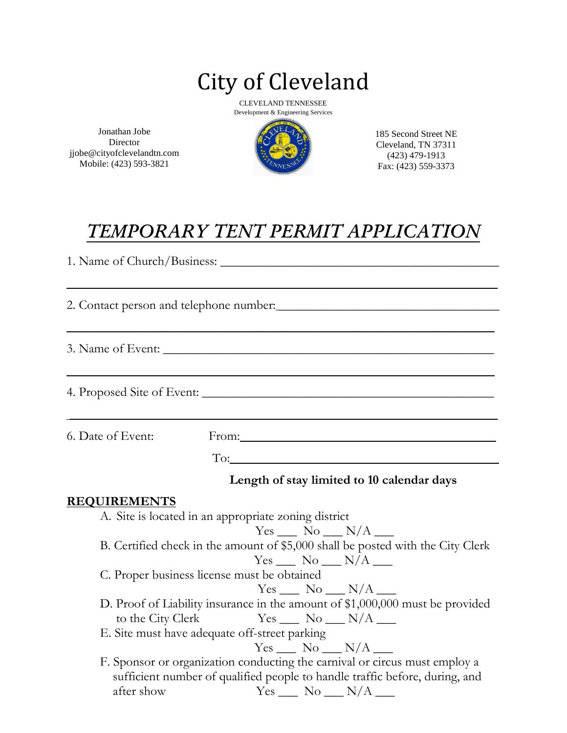# City of Cleveland

CLEVELAND TENNESSEE Development & Engineering Services

Jonathan Jobe **Director** jjobe@cityofclevelandtn.com Mobile: (423) 593-3821



185 Second Street NE Cleveland, TN 37311 (423) 479-1913 Fax: (423) 559-3373

## *TEMPORARY TENT PERMIT APPLICATION*

 $\overline{\phantom{a}}$  , and the contract of the contract of the contract of the contract of the contract of the contract of the contract of the contract of the contract of the contract of the contract of the contract of the contrac

 $\overline{\phantom{a}}$  , and the contract of the contract of the contract of the contract of the contract of the contract of the contract of the contract of the contract of the contract of the contract of the contract of the contrac

 $\overline{\phantom{a}}$  , and the contract of the contract of the contract of the contract of the contract of the contract of the contract of the contract of the contract of the contract of the contract of the contract of the contrac

 $\overline{\phantom{a}}$  , and the contract of the contract of the contract of the contract of the contract of the contract of the contract of the contract of the contract of the contract of the contract of the contract of the contrac

1. Name of Church/Business: \_\_\_\_\_\_\_\_\_\_\_\_\_\_\_\_\_\_\_\_\_\_\_\_\_\_\_\_\_\_\_\_\_\_\_\_\_\_\_\_\_\_\_

2. Contact person and telephone number:

3. Name of Event: \_\_\_\_\_\_\_\_\_\_\_\_\_\_\_\_\_\_\_\_\_\_\_\_\_\_\_\_\_\_\_\_\_\_\_\_\_\_\_\_\_\_\_\_\_\_\_\_\_\_\_

4. Proposed Site of Event: \_\_\_\_\_\_\_\_\_\_\_\_\_\_\_\_\_\_\_\_\_\_\_\_\_\_\_\_\_\_\_\_\_\_\_\_\_\_\_\_\_\_\_\_\_

6. Date of Event: From:

To:

#### **Length of stay limited to 10 calendar days**

#### **REQUIREMENTS**

A. Site is located in an appropriate zoning district  $Yes \_\_$  No  $\_\_$  N/A  $\_\_$ B. Certified check in the amount of \$5,000 shall be posted with the City Clerk  $Yes$   $No$   $N/A$   $\Box$ C. Proper business license must be obtained  $Yes \_\_$  No  $\_\_$  N/A  $\_\_$ D. Proof of Liability insurance in the amount of \$1,000,000 must be provided to the City Clerk  $Yes$   $\_\_$  No  $\_\_$  N/A  $\_\_$ E. Site must have adequate off-street parking  $Yes \_\_ No \_\_ N/A \_\_$ F. Sponsor or organization conducting the carnival or circus must employ a sufficient number of qualified people to handle traffic before, during, and after show  $\text{Yes} \_\_\text{No} \_\text{N/A} \_\text{S}$